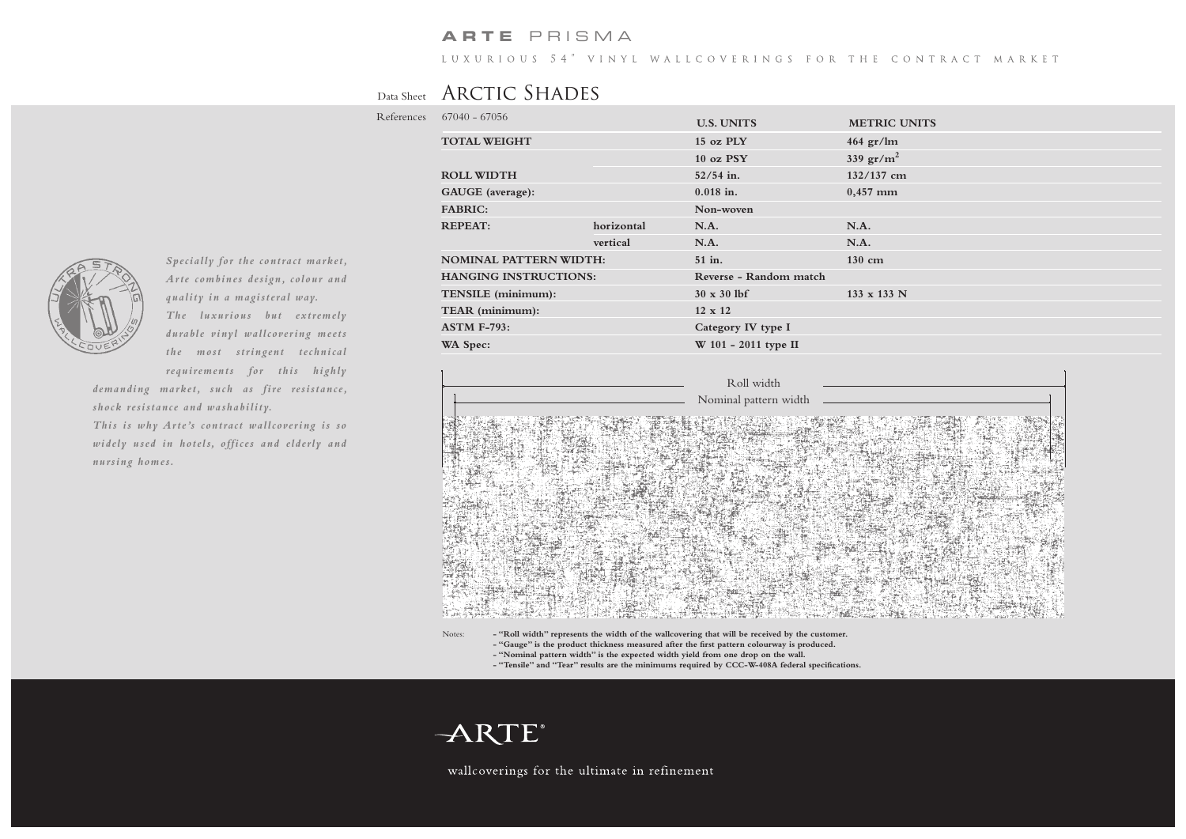### **ARTE** PRISMA

LUXURIOUS 54" VINYL WALLCOVERINGS FOR THE CONTRACT MARKET

## Data Sheet ARCTIC SHADES

Refere

| ences | $67040 - 67056$               |            |                        |                            |
|-------|-------------------------------|------------|------------------------|----------------------------|
|       |                               |            | <b>U.S. UNITS</b>      | <b>METRIC UNITS</b>        |
|       | <b>TOTAL WEIGHT</b>           |            | 15 oz PLY              | $464 \text{ gr}/\text{lm}$ |
|       |                               |            | 10 oz PSY              | 339 $gr/m^2$               |
|       | <b>ROLL WIDTH</b>             |            | $52/54$ in.            | $132/137$ cm               |
|       | GAUGE (average):              |            | $0.018$ in.            | $0,457$ mm                 |
|       | <b>FABRIC:</b>                |            | Non-woven              |                            |
|       | <b>REPEAT:</b>                | horizontal | N.A.                   | N.A.                       |
|       |                               | vertical   | N.A.                   | N.A.                       |
|       | <b>NOMINAL PATTERN WIDTH:</b> |            | 51 in.                 | $130 \text{ cm}$           |
|       | <b>HANGING INSTRUCTIONS:</b>  |            | Reverse - Random match |                            |
|       | TENSILE (minimum):            |            | $30 \times 30$ lbf     | 133 x 133 N                |
|       | TEAR (minimum):               |            | $12 \times 12$         |                            |
|       | <b>ASTM F-793:</b>            |            | Category IV type I     |                            |
|       | WA Spec:                      |            | W 101 - 2011 type II   |                            |
|       |                               |            |                        |                            |



Notes: **- "Roll width" represents the width of the wallcovering that will be received by the customer. - "Gauge" is the product thickness measured after the first pattern colourway is produced. - "Nominal pattern width" is the expected width yield from one drop on the wall.**

**- "Tensile" and "Tear" results are the minimums required by CCC-W-408A federal specifications.**



wallcoverings for the ultimate in refinement



*Specially for the contract market, Arte combines design, colour and quality in a magisteral way. The luxurious but extremely durable vinyl wallcovering meets the most stringent technical requirements for this highly* 

*demanding market, such as fire resistance, shock resistance and washability. This is why Arte's contract wallcovering is so widely used in hotels, offices and elderly and nursing homes.*